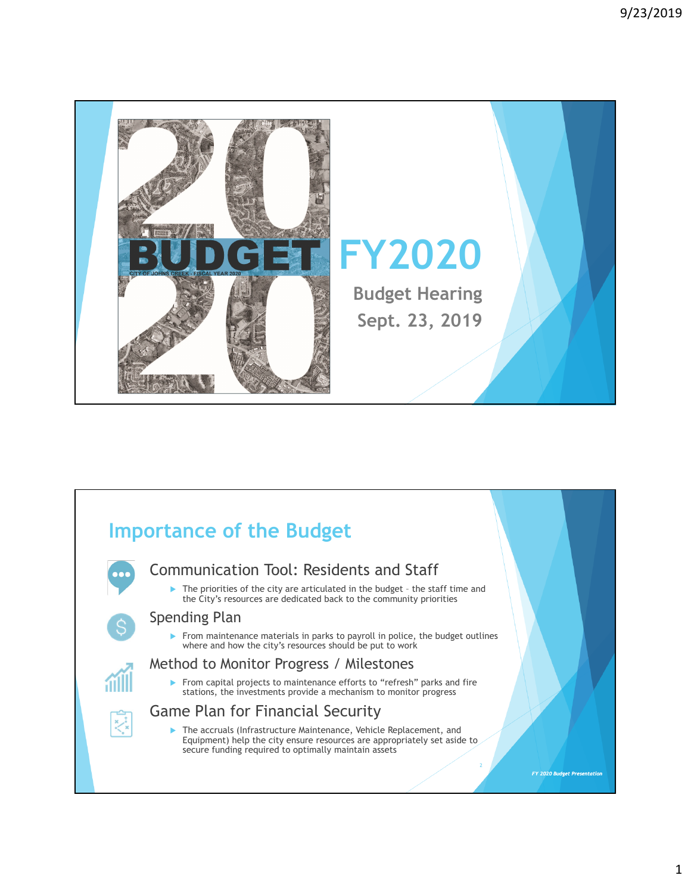

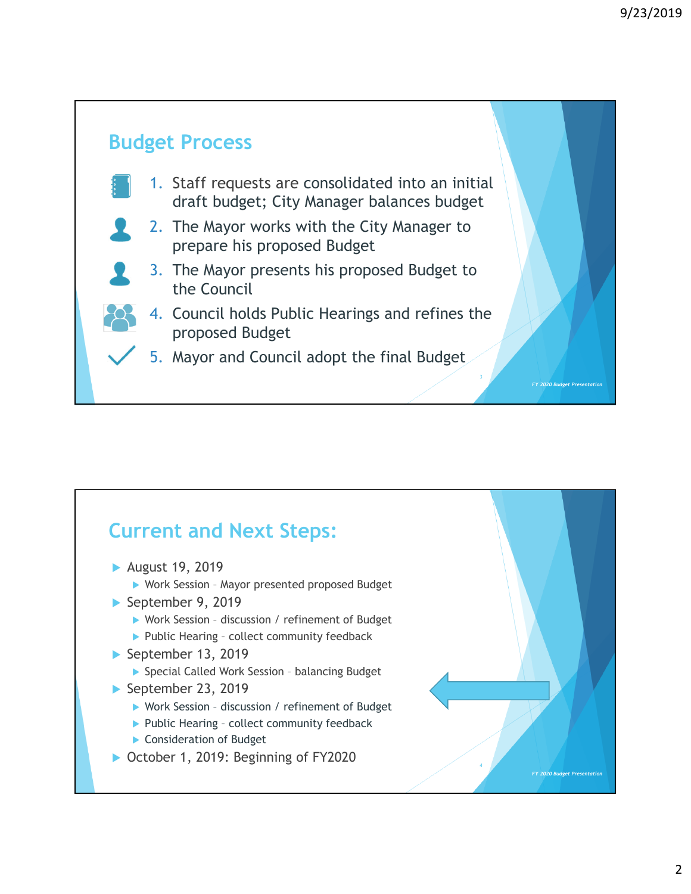

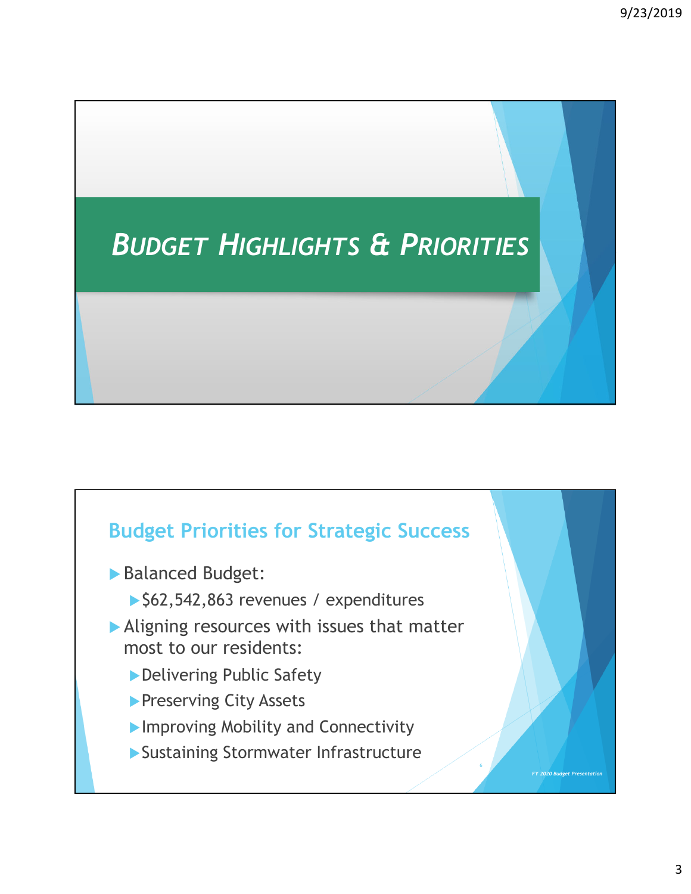# *BUDGET HIGHLIGHTS & PRIORITIES*

#### **Budget Priorities for Strategic Success**

- Balanced Budget:
	- ▶ \$62,542,863 revenues / expenditures
- Aligning resources with issues that matter most to our residents:
	- ▶ Delivering Public Safety
	- **Preserving City Assets**
	- **Improving Mobility and Connectivity**
	- Sustaining Stormwater Infrastructure

*FY 2020 Budget Presentation*

6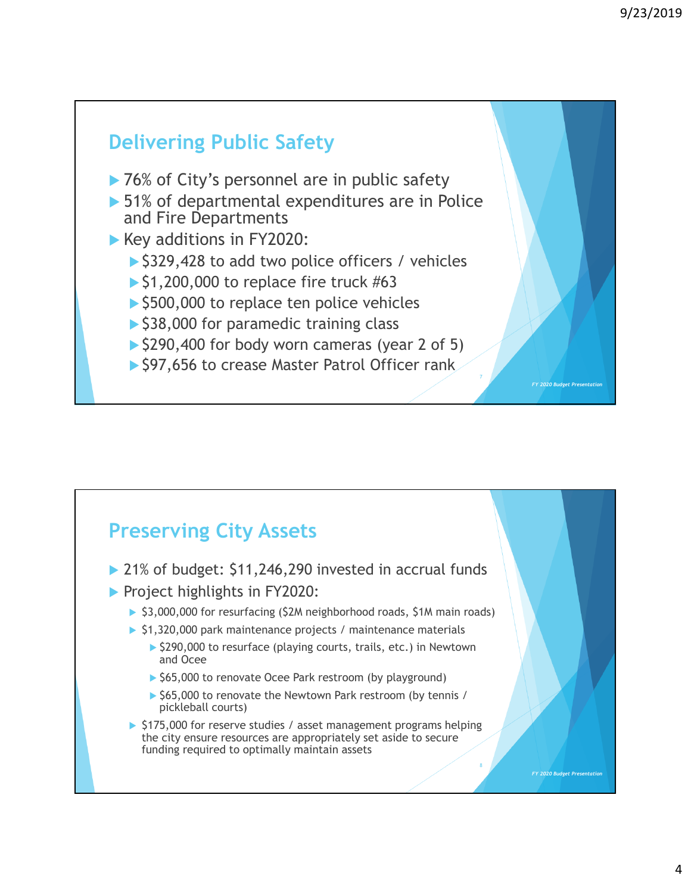

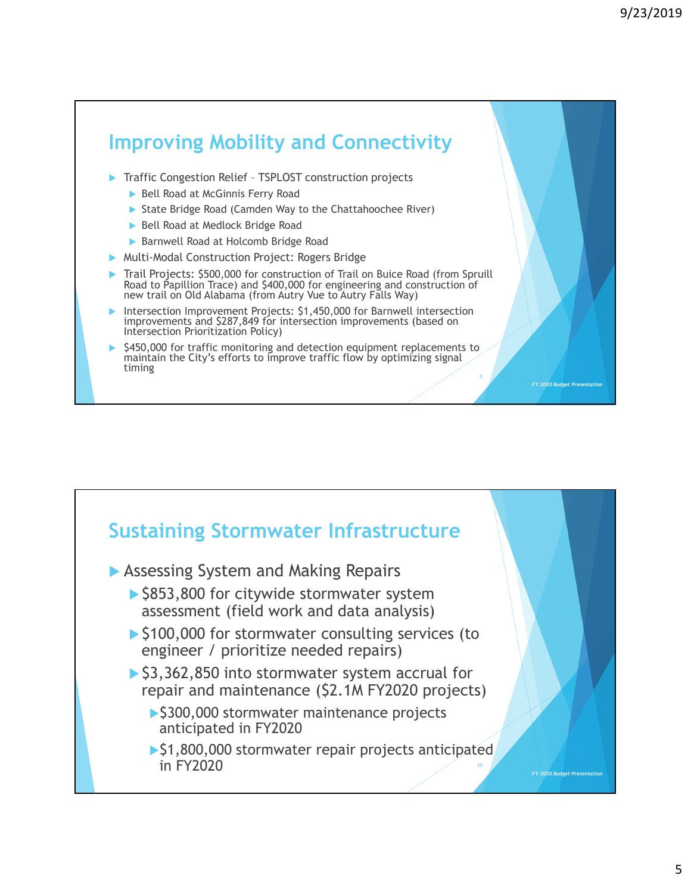

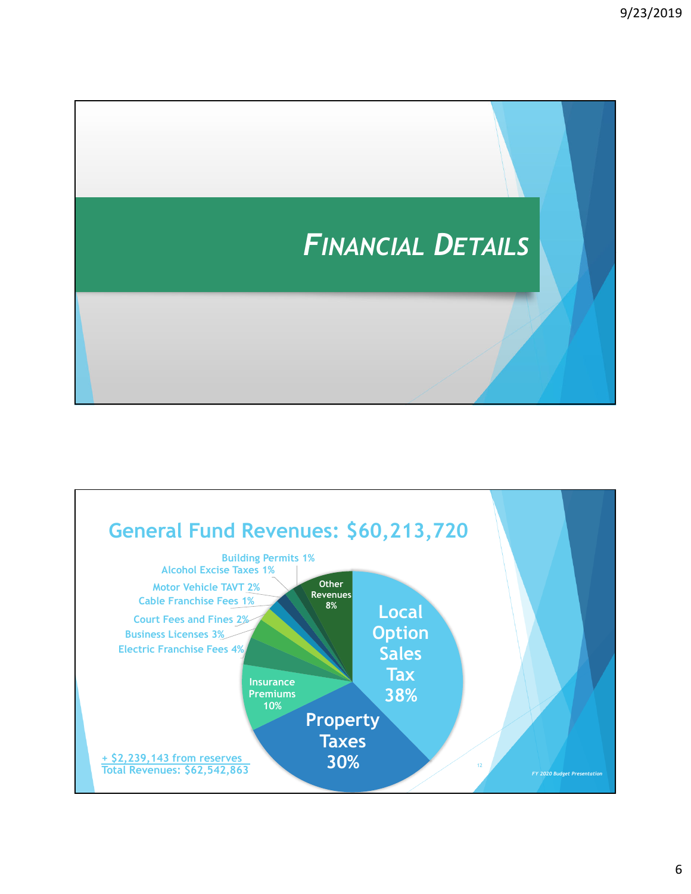

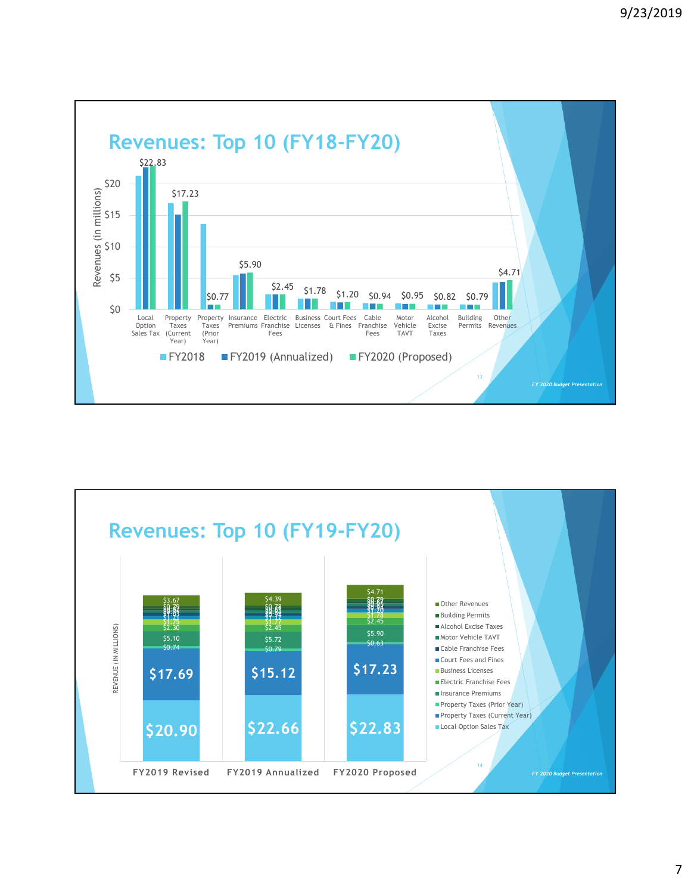

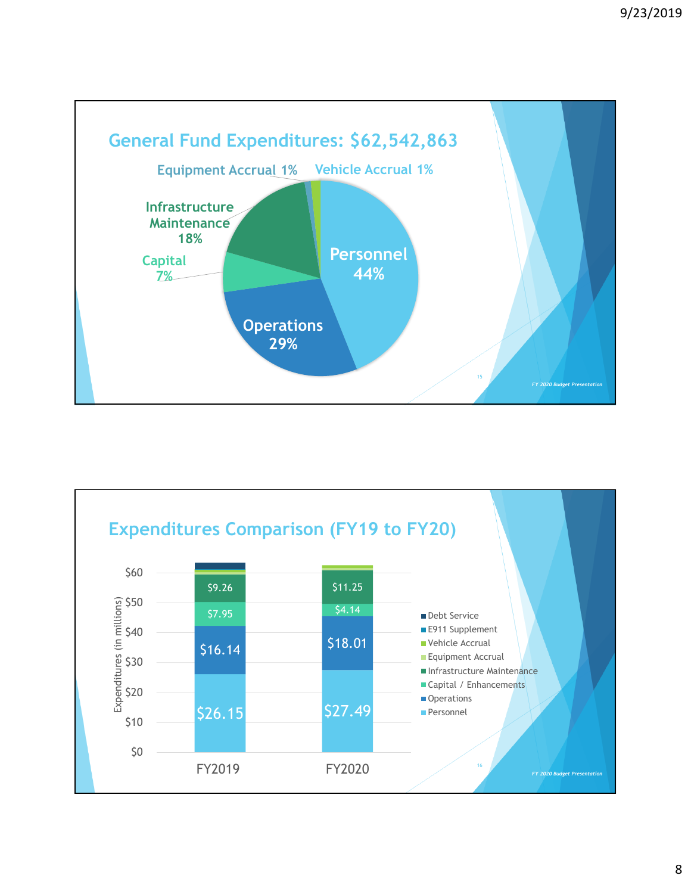

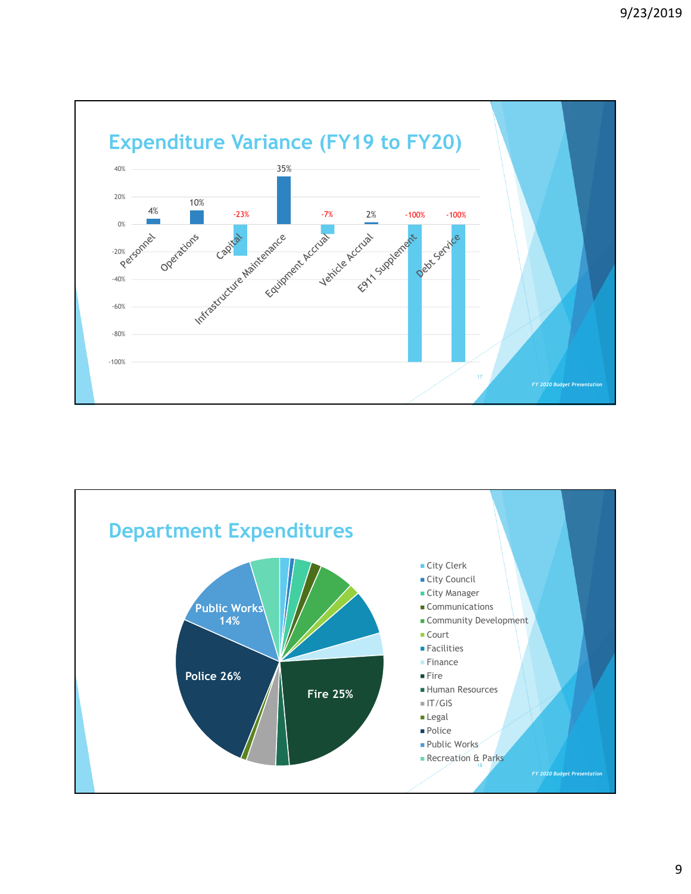

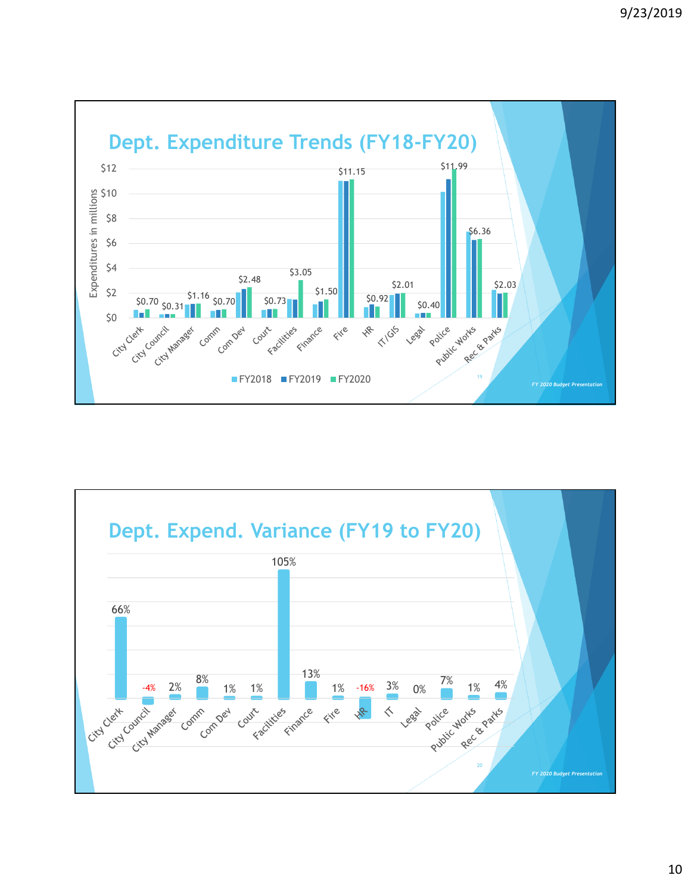

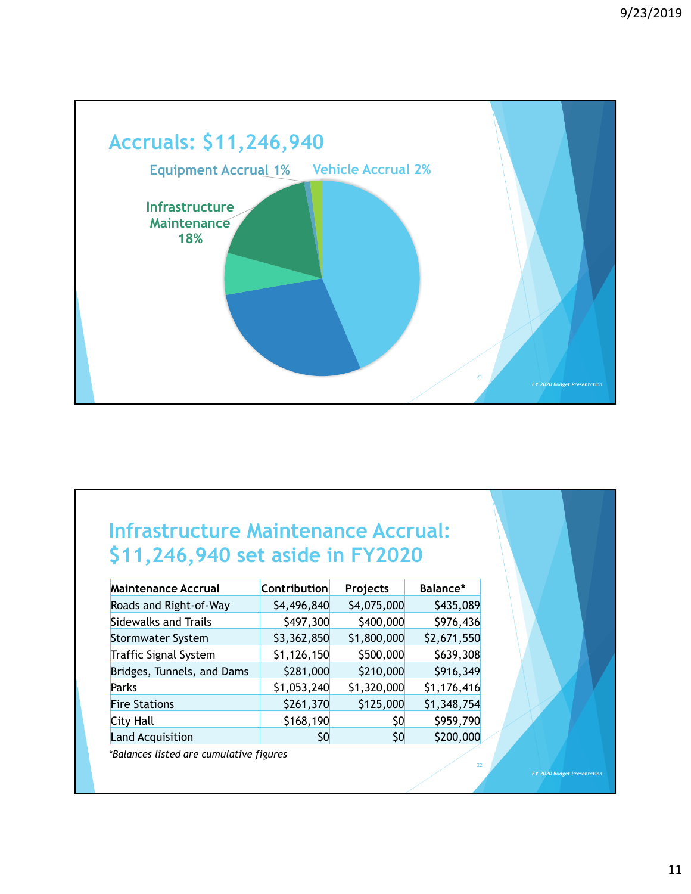

#### **Infrastructure Maintenance Accrual: \$11,246,940 set aside in FY2020**

| <b>Maintenance Accrual</b>   | Contribution | Projects    | Balance*    |
|------------------------------|--------------|-------------|-------------|
| Roads and Right-of-Way       | \$4,496,840  | \$4,075,000 | \$435,089   |
| <b>Sidewalks and Trails</b>  | \$497,300    | \$400,000   | \$976,436   |
| <b>Stormwater System</b>     | \$3,362,850  | \$1,800,000 | \$2,671,550 |
| <b>Traffic Signal System</b> | \$1,126,150  | \$500,000   | \$639,308   |
| Bridges, Tunnels, and Dams   | \$281,000    | \$210,000   | \$916,349   |
| Parks                        | \$1,053,240  | \$1,320,000 | \$1,176,416 |
| <b>Fire Stations</b>         | \$261,370    | \$125,000   | \$1,348,754 |
| <b>City Hall</b>             | \$168,190    | \$0         | \$959,790   |
| <b>Land Acquisition</b>      | Ş0           | 50          | \$200,000   |

*\*Balances listed are cumulative figures*

*FY 2020 Budget Presentation*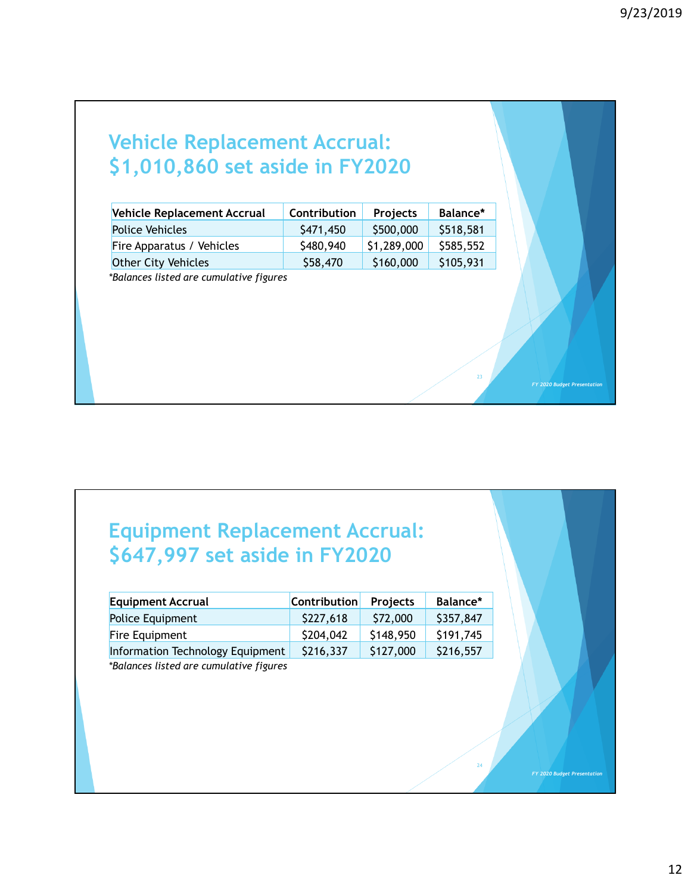*FY 2020 Budget Presentation*

*FY 2020 Budget Presentation*

24

| <b>Vehicle Replacement Accrual:</b> |  |
|-------------------------------------|--|
| \$1,010,860 set aside in FY2020     |  |

| Vehicle Replacement Accrual             | Contribution | Projects    | Balance*  |
|-----------------------------------------|--------------|-------------|-----------|
| <b>Police Vehicles</b>                  | \$471,450    | \$500,000   | \$518,581 |
| Fire Apparatus / Vehicles               | \$480,940    | \$1,289,000 | \$585,552 |
| <b>Other City Vehicles</b>              | \$58,470     | \$160,000   | \$105,931 |
| *Balances listed are cumulative figures |              |             |           |

## **Equipment Replacement Accrual: \$647,997 set aside in FY2020**

| <b>Equipment Accrual</b>         | <b>Contribution</b> | <b>Projects</b> | Balance*  |
|----------------------------------|---------------------|-----------------|-----------|
| Police Equipment                 | \$227,618           | \$72,000        | \$357,847 |
| Fire Equipment                   | \$204,042           | \$148,950       | \$191,745 |
| Information Technology Equipment | \$216,337           | \$127,000       | \$216,557 |
|                                  |                     |                 |           |

*\*Balances listed are cumulative figures*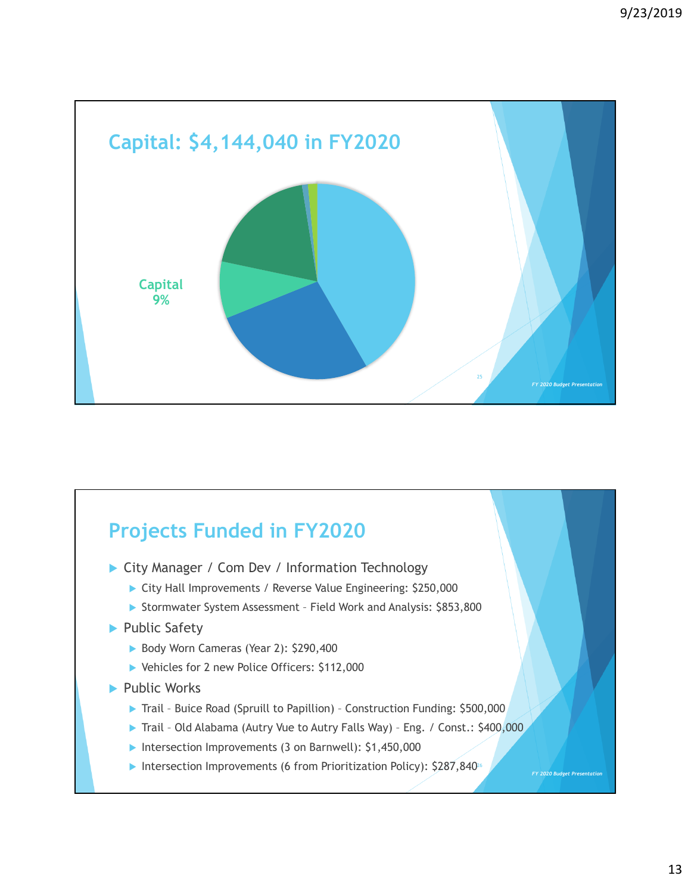

## **Projects Funded in FY2020**

- ▶ City Manager / Com Dev / Information Technology
	- ▶ City Hall Improvements / Reverse Value Engineering: \$250,000
	- Stormwater System Assessment Field Work and Analysis: \$853,800
- ▶ Public Safety
	- Body Worn Cameras (Year 2): \$290,400
	- ▶ Vehicles for 2 new Police Officers: \$112,000
- ▶ Public Works
	- ▶ Trail Buice Road (Spruill to Papillion) Construction Funding: \$500,000
	- ▶ Trail Old Alabama (Autry Vue to Autry Falls Way) Eng. / Const.: \$400,000
	- Intersection Improvements (3 on Barnwell): \$1,450,000
	- Intersection Improvements (6 from Prioritization Policy):  $$287,840\textsuperscript{26}$

*FY 2020 Budget Presentation*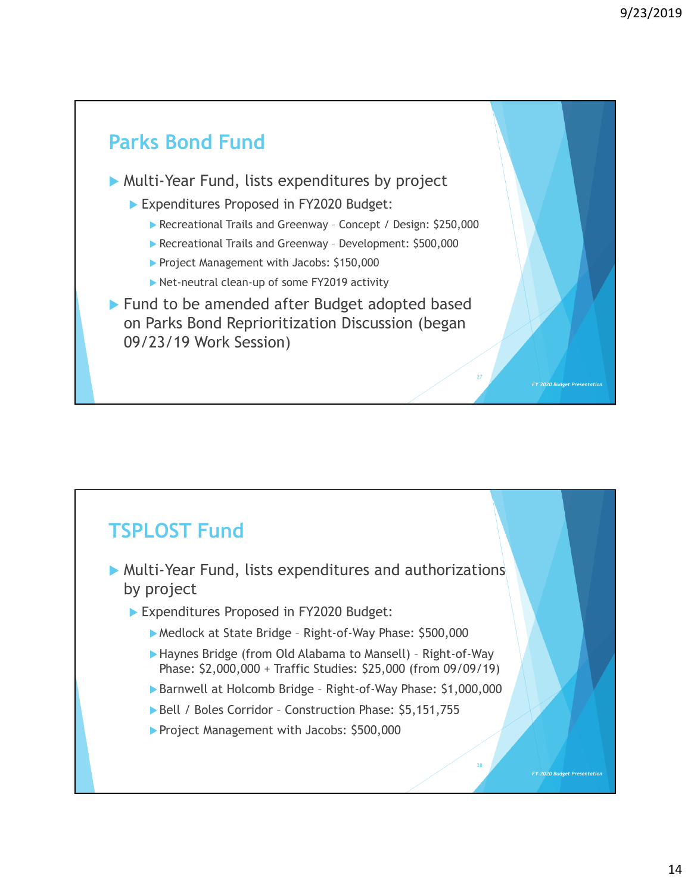*FY 2020 Budget Prese* 

*FY 2020 Budget Presentation*

## **Parks Bond Fund**

Multi-Year Fund, lists expenditures by project

- Expenditures Proposed in FY2020 Budget:
	- ▶ Recreational Trails and Greenway Concept / Design: \$250,000
	- Recreational Trails and Greenway Development: \$500,000
	- Project Management with Jacobs: \$150,000
	- ▶ Net-neutral clean-up of some FY2019 activity
- ▶ Fund to be amended after Budget adopted based on Parks Bond Reprioritization Discussion (began 09/23/19 Work Session)

#### **TSPLOST Fund**

- Multi-Year Fund, lists expenditures and authorizations by project
	- Expenditures Proposed in FY2020 Budget:
		- Medlock at State Bridge Right-of-Way Phase: \$500,000
		- Haynes Bridge (from Old Alabama to Mansell) Right-of-Way Phase: \$2,000,000 + Traffic Studies: \$25,000 (from 09/09/19)
		- ▶ Barnwell at Holcomb Bridge Right-of-Way Phase: \$1,000,000
		- Bell / Boles Corridor Construction Phase: \$5,151,755
		- Project Management with Jacobs: \$500,000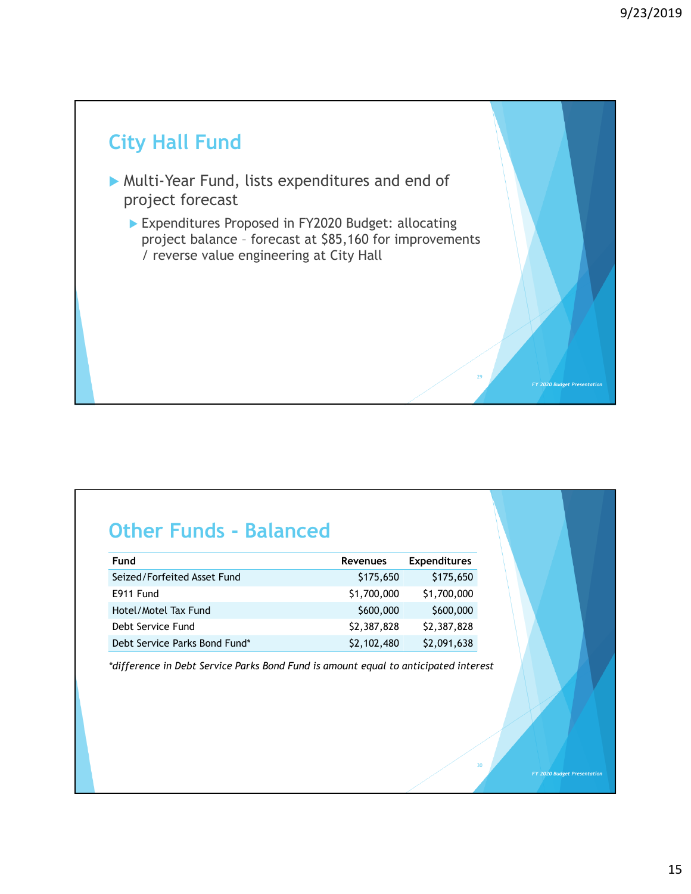*FY 2020 Budget Present* 

*FY 2020 Budget Presentation*

## **City Hall Fund**

- Multi-Year Fund, lists expenditures and end of project forecast
	- Expenditures Proposed in FY2020 Budget: allocating project balance – forecast at \$85,160 for improvements / reverse value engineering at City Hall

#### **Other Funds - Balanced**

| Fund                          | <b>Revenues</b> | <b>Expenditures</b> |
|-------------------------------|-----------------|---------------------|
| Seized/Forfeited Asset Fund   | \$175,650       | \$175,650           |
| E911 Fund                     | \$1,700,000     | \$1,700,000         |
| Hotel/Motel Tax Fund          | \$600,000       | \$600,000           |
| Debt Service Fund             | \$2,387,828     | \$2,387,828         |
| Debt Service Parks Bond Fund* | \$2,102,480     | \$2,091,638         |

*\*difference in Debt Service Parks Bond Fund is amount equal to anticipated interest*